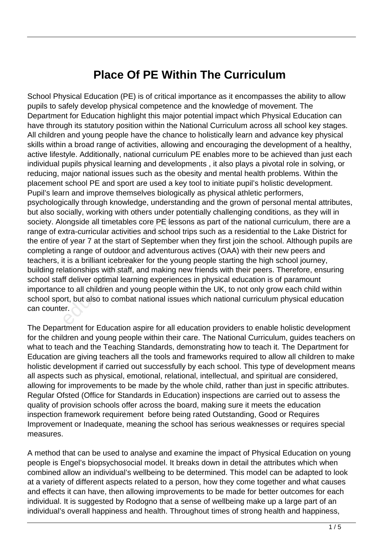## **Place Of PE Within The Curriculum**

School Physical Education (PE) is of critical importance as it encompasses the ability to allow pupils to safely develop physical competence and the knowledge of movement. The Department for Education highlight this major potential impact which Physical Education can have through its statutory position within the National Curriculum across all school key stages. All children and young people have the chance to holistically learn and advance key physical skills within a broad range of activities, allowing and encouraging the development of a healthy, active lifestyle. Additionally, national curriculum PE enables more to be achieved than just each individual pupils physical learning and developments , it also plays a pivotal role in solving, or reducing, major national issues such as the obesity and mental health problems. Within the placement school PE and sport are used a key tool to initiate pupil's holistic development. Pupil's learn and improve themselves biologically as physical athletic performers, psychologically through knowledge, understanding and the grown of personal mental attributes, but also socially, working with others under potentially challenging conditions, as they will in society. Alongside all timetables core PE lessons as part of the national curriculum, there are a range of extra-curricular activities and school trips such as a residential to the Lake District for the entire of year 7 at the start of September when they first join the school. Although pupils are completing a range of outdoor and adventurous actives (OAA) with their new peers and teachers, it is a brilliant icebreaker for the young people starting the high school journey, building relationships with staff, and making new friends with their peers. Therefore, ensuring school staff deliver optimal learning experiences in physical education is of paramount importance to all children and young people within the UK, to not only grow each child within school sport, but also to combat national issues which national curriculum physical education can counter. enally, we had generally congside all timetables core PE lest<br>stra-curricular activities and school<br>of year 7 at the start of September<br>and adventure tis a brilliant icebreaker for the youth<br>ationships with staff, and maki

The Department for Education aspire for all education providers to enable holistic development for the children and young people within their care. The National Curriculum, guides teachers on what to teach and the Teaching Standards, demonstrating how to teach it. The Department for Education are giving teachers all the tools and frameworks required to allow all children to make holistic development if carried out successfully by each school. This type of development means all aspects such as physical, emotional, relational, intellectual, and spiritual are considered, allowing for improvements to be made by the whole child, rather than just in specific attributes. Regular Ofsted (Office for Standards in Education) inspections are carried out to assess the quality of provision schools offer across the board, making sure it meets the education inspection framework requirement before being rated Outstanding, Good or Requires Improvement or Inadequate, meaning the school has serious weaknesses or requires special measures.

A method that can be used to analyse and examine the impact of Physical Education on young people is Engel's biopsychosocial model. It breaks down in detail the attributes which when combined allow an individual's wellbeing to be determined. This model can be adapted to look at a variety of different aspects related to a person, how they come together and what causes and effects it can have, then allowing improvements to be made for better outcomes for each individual. It is suggested by Rodogno that a sense of wellbeing make up a large part of an individual's overall happiness and health. Throughout times of strong health and happiness,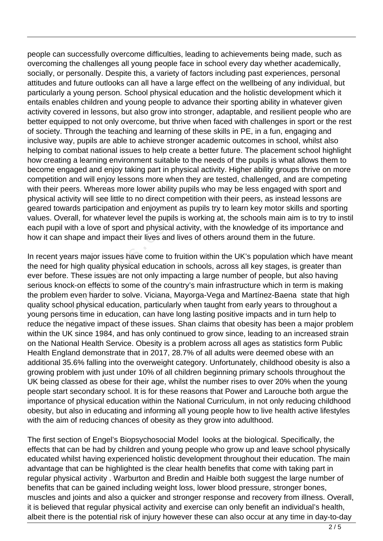people can successfully overcome difficulties, leading to achievements being made, such as overcoming the challenges all young people face in school every day whether academically, socially, or personally. Despite this, a variety of factors including past experiences, personal attitudes and future outlooks can all have a large effect on the wellbeing of any individual, but particularly a young person. School physical education and the holistic development which it entails enables children and young people to advance their sporting ability in whatever given activity covered in lessons, but also grow into stronger, adaptable, and resilient people who are better equipped to not only overcome, but thrive when faced with challenges in sport or the rest of society. Through the teaching and learning of these skills in PE, in a fun, engaging and inclusive way, pupils are able to achieve stronger academic outcomes in school, whilst also helping to combat national issues to help create a better future. The placement school highlight how creating a learning environment suitable to the needs of the pupils is what allows them to become engaged and enjoy taking part in physical activity. Higher ability groups thrive on more competition and will enjoy lessons more when they are tested, challenged, and are competing with their peers. Whereas more lower ability pupils who may be less engaged with sport and physical activity will see little to no direct competition with their peers, as instead lessons are geared towards participation and enjoyment as pupils try to learn key motor skills and sporting values. Overall, for whatever level the pupils is working at, the schools main aim is to try to instil each pupil with a love of sport and physical activity, with the knowledge of its importance and how it can shape and impact their lives and lives of others around them in the future.

In recent years major issues have come to fruition within the UK's population which have meant the need for high quality physical education in schools, across all key stages, is greater than ever before. These issues are not only impacting a large number of people, but also having serious knock-on effects to some of the country's main infrastructure which in term is making the problem even harder to solve. Viciana, Mayorga-Vega and Martínez-Baena state that high quality school physical education, particularly when taught from early years to throughout a young persons time in education, can have long lasting positive impacts and in turn help to reduce the negative impact of these issues. Shan claims that obesity has been a major problem within the UK since 1984, and has only continued to grow since, leading to an increased strain on the National Health Service. Obesity is a problem across all ages as statistics form Public Health England demonstrate that in 2017, 28.7% of all adults were deemed obese with an additional 35.6% falling into the overweight category. Unfortunately, childhood obesity is also a growing problem with just under 10% of all children beginning primary schools throughout the UK being classed as obese for their age, whilst the number rises to over 20% when the young people start secondary school. It is for these reasons that Power and Larouche both argue the importance of physical education within the National Curriculum, in not only reducing childhood obesity, but also in educating and informing all young people how to live health active lifestyles with the aim of reducing chances of obesity as they grow into adulthood. rerall, for whatever level the pupils<br>with a love of sport and physical a<br>shape and impact their lives and<br>lears major issues have come to fi<br>or high quality physical education<br>e. These issues are not only impa<br>ock-on effe

The first section of Engel's Biopsychosocial Model looks at the biological. Specifically, the effects that can be had by children and young people who grow up and leave school physically educated whilst having experienced holistic development throughout their education. The main advantage that can be highlighted is the clear health benefits that come with taking part in regular physical activity . Warburton and Bredin and Haible both suggest the large number of benefits that can be gained including weight loss, lower blood pressure, stronger bones, muscles and joints and also a quicker and stronger response and recovery from illness. Overall, it is believed that regular physical activity and exercise can only benefit an individual's health, albeit there is the potential risk of injury however these can also occur at any time in day-to-day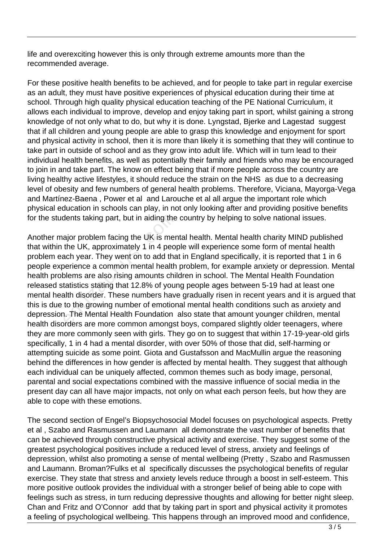life and overexciting however this is only through extreme amounts more than the recommended average.

For these positive health benefits to be achieved, and for people to take part in regular exercise as an adult, they must have positive experiences of physical education during their time at school. Through high quality physical education teaching of the PE National Curriculum, it allows each individual to improve, develop and enjoy taking part in sport, whilst gaining a strong knowledge of not only what to do, but why it is done. Lyngstad, Bjerke and Lagestad suggest that if all children and young people are able to grasp this knowledge and enjoyment for sport and physical activity in school, then it is more than likely it is something that they will continue to take part in outside of school and as they grow into adult life. Which will in turn lead to their individual health benefits, as well as potentially their family and friends who may be encouraged to join in and take part. The know on effect being that if more people across the country are living healthy active lifestyles, it should reduce the strain on the NHS as due to a decreasing level of obesity and few numbers of general health problems. Therefore, Viciana, Mayorga-Vega and Martínez-Baena , Power et al and Larouche et al all argue the important role which physical education in schools can play, in not only looking after and providing positive benefits for the students taking part, but in aiding the country by helping to solve national issues.

Another major problem facing the UK is mental health. Mental health charity MIND published that within the UK, approximately 1 in 4 people will experience some form of mental health problem each year. They went on to add that in England specifically, it is reported that 1 in 6 people experience a common mental health problem, for example anxiety or depression. Mental health problems are also rising amounts children in school. The Mental Health Foundation released statistics stating that 12.8% of young people ages between 5-19 had at least one mental health disorder. These numbers have gradually risen in recent years and it is argued that this is due to the growing number of emotional mental health conditions such as anxiety and depression. The Mental Health Foundation also state that amount younger children, mental health disorders are more common amongst boys, compared slightly older teenagers, where they are more commonly seen with girls. They go on to suggest that within 17-19-year-old girls specifically, 1 in 4 had a mental disorder, with over 50% of those that did, self-harming or attempting suicide as some point. Giota and Gustafsson and MacMullin argue the reasoning behind the differences in how gender is affected by mental health. They suggest that although each individual can be uniquely affected, common themes such as body image, personal, parental and social expectations combined with the massive influence of social media in the present day can all have major impacts, not only on what each person feels, but how they are able to cope with these emotions. dents taking part, but in aiding the<br>ajor problem facing the UK is mer<br>the UK, approximately 1 in 4 peop<br>ach year. They went on to add tha<br>berience a common mental health<br>plems are also rising amounts chil<br>tatistics statin

The second section of Engel's Biopsychosocial Model focuses on psychological aspects. Pretty et al , Szabo and Rasmussen and Laumann all demonstrate the vast number of benefits that can be achieved through constructive physical activity and exercise. They suggest some of the greatest psychological positives include a reduced level of stress, anxiety and feelings of depression, whilst also promoting a sense of mental wellbeing (Pretty , Szabo and Rasmussen and Laumann. Broman?Fulks et al specifically discusses the psychological benefits of regular exercise. They state that stress and anxiety levels reduce through a boost in self-esteem. This more positive outlook provides the individual with a stronger belief of being able to cope with feelings such as stress, in turn reducing depressive thoughts and allowing for better night sleep. Chan and Fritz and O'Connor add that by taking part in sport and physical activity it promotes a feeling of psychological wellbeing. This happens through an improved mood and confidence,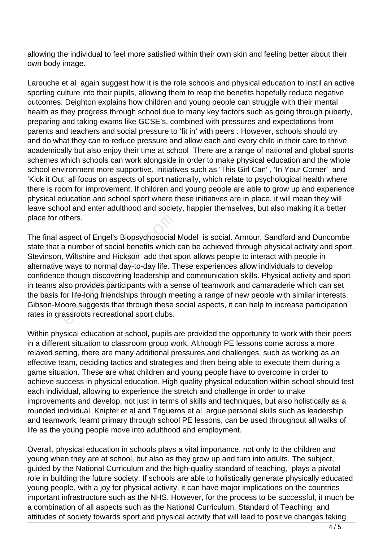allowing the individual to feel more satisfied within their own skin and feeling better about their own body image.

Larouche et al again suggest how it is the role schools and physical education to instil an active sporting culture into their pupils, allowing them to reap the benefits hopefully reduce negative outcomes. Deighton explains how children and young people can struggle with their mental health as they progress through school due to many key factors such as going through puberty, preparing and taking exams like GCSE's, combined with pressures and expectations from parents and teachers and social pressure to 'fit in' with peers . However, schools should try and do what they can to reduce pressure and allow each and every child in their care to thrive academically but also enjoy their time at school There are a range of national and global sports schemes which schools can work alongside in order to make physical education and the whole school environment more supportive. Initiatives such as 'This Girl Can' , 'In Your Corner' and 'Kick it Out' all focus on aspects of sport nationally, which relate to psychological health where there is room for improvement. If children and young people are able to grow up and experience physical education and school sport where these initiatives are in place, it will mean they will leave school and enter adulthood and society, happier themselves, but also making it a better place for others.

The final aspect of Engel's Biopsychosocial Model is social. Armour, Sandford and Duncombe state that a number of social benefits which can be achieved through physical activity and sport. Stevinson, Wiltshire and Hickson add that sport allows people to interact with people in alternative ways to normal day-to-day life. These experiences allow individuals to develop confidence though discovering leadership and communication skills. Physical activity and sport in teams also provides participants with a sense of teamwork and camaraderie which can set the basis for life-long friendships through meeting a range of new people with similar interests. Gibson-Moore suggests that through these social aspects, it can help to increase participation rates in grassroots recreational sport clubs. thers.<br>spect of Engel's Biopsychosocial<br>a number of social benefits which<br>Wiltshire and Hickson add that s<br>ways to normal day-to-day life. Tl<br>et hough discovering leadership ar<br>lso provides participants with a se<br>or life-l

Within physical education at school, pupils are provided the opportunity to work with their peers in a different situation to classroom group work. Although PE lessons come across a more relaxed setting, there are many additional pressures and challenges, such as working as an effective team, deciding tactics and strategies and then being able to execute them during a game situation. These are what children and young people have to overcome in order to achieve success in physical education. High quality physical education within school should test each individual, allowing to experience the stretch and challenge in order to make improvements and develop, not just in terms of skills and techniques, but also holistically as a rounded individual. Knipfer et al and Trigueros et al argue personal skills such as leadership and teamwork, learnt primary through school PE lessons, can be used throughout all walks of life as the young people move into adulthood and employment.

Overall, physical education in schools plays a vital importance, not only to the children and young when they are at school, but also as they grow up and turn into adults. The subject, guided by the National Curriculum and the high-quality standard of teaching, plays a pivotal role in building the future society. If schools are able to holistically generate physically educated young people, with a joy for physical activity, it can have major implications on the countries important infrastructure such as the NHS. However, for the process to be successful, it much be a combination of all aspects such as the National Curriculum, Standard of Teaching and attitudes of society towards sport and physical activity that will lead to positive changes taking